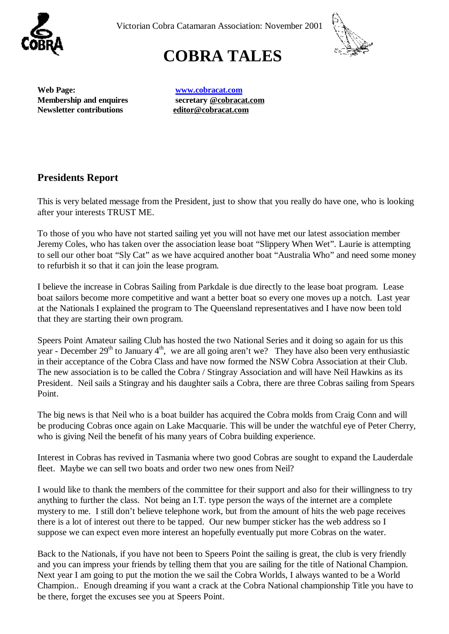

Victorian Cobra Catamaran Association: November 2001



# **COBRA TALES**

**Web Page: [www.cobracat.com](http://www.cobracat.com) Newsletter contributions [editor@cobracat.com](mailto:editor@cobracat.com)**

**Membership and enquires secretary [@cobracat.com](mailto:@cobracat.com)**

### **Presidents Report**

This is very belated message from the President, just to show that you really do have one, who is looking after your interests TRUST ME.

To those of you who have not started sailing yet you will not have met our latest association member Jeremy Coles, who has taken over the association lease boat "Slippery When Wet". Laurie is attempting to sell our other boat "Sly Cat" as we have acquired another boat "Australia Who" and need some money to refurbish it so that it can join the lease program.

I believe the increase in Cobras Sailing from Parkdale is due directly to the lease boat program. Lease boat sailors become more competitive and want a better boat so every one moves up a notch. Last year at the Nationals I explained the program to The Queensland representatives and I have now been told that they are starting their own program.

Speers Point Amateur sailing Club has hosted the two National Series and it doing so again for us this year - December 29<sup>th</sup> to January 4<sup>th</sup>, we are all going aren't we? They have also been very enthusiastic in their acceptance of the Cobra Class and have now formed the NSW Cobra Association at their Club. The new association is to be called the Cobra / Stingray Association and will have Neil Hawkins as its President. Neil sails a Stingray and his daughter sails a Cobra, there are three Cobras sailing from Spears Point.

The big news is that Neil who is a boat builder has acquired the Cobra molds from Craig Conn and will be producing Cobras once again on Lake Macquarie. This will be under the watchful eye of Peter Cherry, who is giving Neil the benefit of his many years of Cobra building experience.

Interest in Cobras has revived in Tasmania where two good Cobras are sought to expand the Lauderdale fleet. Maybe we can sell two boats and order two new ones from Neil?

I would like to thank the members of the committee for their support and also for their willingness to try anything to further the class. Not being an I.T. type person the ways of the internet are a complete mystery to me. I still don't believe telephone work, but from the amount of hits the web page receives there is a lot of interest out there to be tapped. Our new bumper sticker has the web address so I suppose we can expect even more interest an hopefully eventually put more Cobras on the water.

Back to the Nationals, if you have not been to Speers Point the sailing is great, the club is very friendly and you can impress your friends by telling them that you are sailing for the title of National Champion. Next year I am going to put the motion the we sail the Cobra Worlds, I always wanted to be a World Champion.. Enough dreaming if you want a crack at the Cobra National championship Title you have to be there, forget the excuses see you at Speers Point.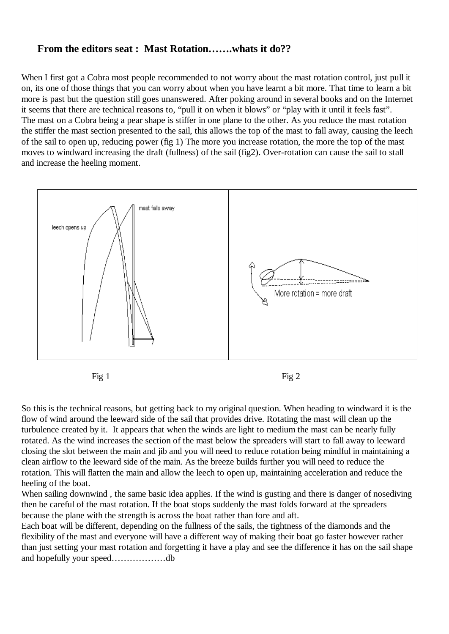#### **From the editors seat : Mast Rotation…….whats it do??**

When I first got a Cobra most people recommended to not worry about the mast rotation control, just pull it on, its one of those things that you can worry about when you have learnt a bit more. That time to learn a bit more is past but the question still goes unanswered. After poking around in several books and on the Internet it seems that there are technical reasons to, "pull it on when it blows" or "play with it until it feels fast". The mast on a Cobra being a pear shape is stiffer in one plane to the other. As you reduce the mast rotation the stiffer the mast section presented to the sail, this allows the top of the mast to fall away, causing the leech of the sail to open up, reducing power (fig 1) The more you increase rotation, the more the top of the mast moves to windward increasing the draft (fullness) of the sail (fig2). Over-rotation can cause the sail to stall and increase the heeling moment.



So this is the technical reasons, but getting back to my original question. When heading to windward it is the flow of wind around the leeward side of the sail that provides drive. Rotating the mast will clean up the turbulence created by it. It appears that when the winds are light to medium the mast can be nearly fully rotated. As the wind increases the section of the mast below the spreaders will start to fall away to leeward closing the slot between the main and jib and you will need to reduce rotation being mindful in maintaining a clean airflow to the leeward side of the main. As the breeze builds further you will need to reduce the rotation. This will flatten the main and allow the leech to open up, maintaining acceleration and reduce the heeling of the boat.

When sailing downwind, the same basic idea applies. If the wind is gusting and there is danger of nosediving then be careful of the mast rotation. If the boat stops suddenly the mast folds forward at the spreaders because the plane with the strength is across the boat rather than fore and aft.

Each boat will be different, depending on the fullness of the sails, the tightness of the diamonds and the flexibility of the mast and everyone will have a different way of making their boat go faster however rather than just setting your mast rotation and forgetting it have a play and see the difference it has on the sail shape and hopefully your speed………………db